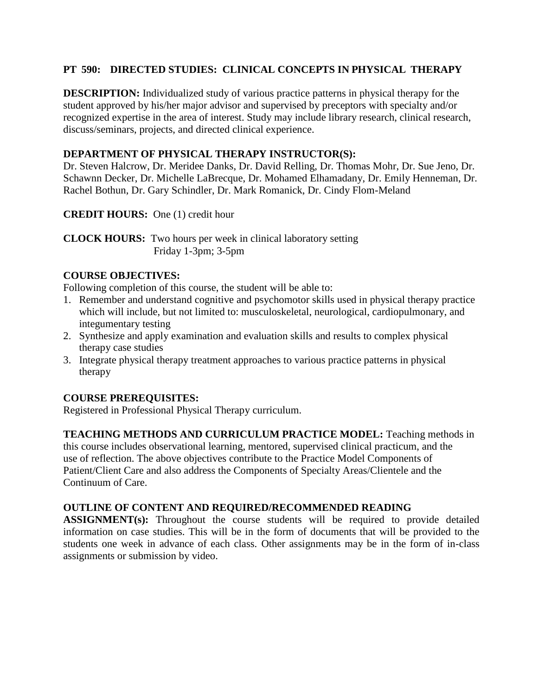## **PT 590: DIRECTED STUDIES: CLINICAL CONCEPTS IN PHYSICAL THERAPY**

**DESCRIPTION:** Individualized study of various practice patterns in physical therapy for the student approved by his/her major advisor and supervised by preceptors with specialty and/or recognized expertise in the area of interest. Study may include library research, clinical research, discuss/seminars, projects, and directed clinical experience.

## **DEPARTMENT OF PHYSICAL THERAPY INSTRUCTOR(S):**

Dr. Steven Halcrow, Dr. Meridee Danks, Dr. David Relling, Dr. Thomas Mohr, Dr. Sue Jeno, Dr. Schawnn Decker, Dr. Michelle LaBrecque, Dr. Mohamed Elhamadany, Dr. Emily Henneman, Dr. Rachel Bothun, Dr. Gary Schindler, Dr. Mark Romanick, Dr. Cindy Flom-Meland

**CREDIT HOURS:** One (1) credit hour

**CLOCK HOURS:** Two hours per week in clinical laboratory setting Friday 1-3pm; 3-5pm

# **COURSE OBJECTIVES:**

Following completion of this course, the student will be able to:

- 1. Remember and understand cognitive and psychomotor skills used in physical therapy practice which will include, but not limited to: musculoskeletal, neurological, cardiopulmonary, and integumentary testing
- 2. Synthesize and apply examination and evaluation skills and results to complex physical therapy case studies
- 3. Integrate physical therapy treatment approaches to various practice patterns in physical therapy

### **COURSE PREREQUISITES:**

Registered in Professional Physical Therapy curriculum.

**TEACHING METHODS AND CURRICULUM PRACTICE MODEL:** Teaching methods in this course includes observational learning, mentored, supervised clinical practicum, and the use of reflection. The above objectives contribute to the Practice Model Components of Patient/Client Care and also address the Components of Specialty Areas/Clientele and the Continuum of Care.

### **OUTLINE OF CONTENT AND REQUIRED/RECOMMENDED READING**

**ASSIGNMENT(s):** Throughout the course students will be required to provide detailed information on case studies. This will be in the form of documents that will be provided to the students one week in advance of each class. Other assignments may be in the form of in-class assignments or submission by video.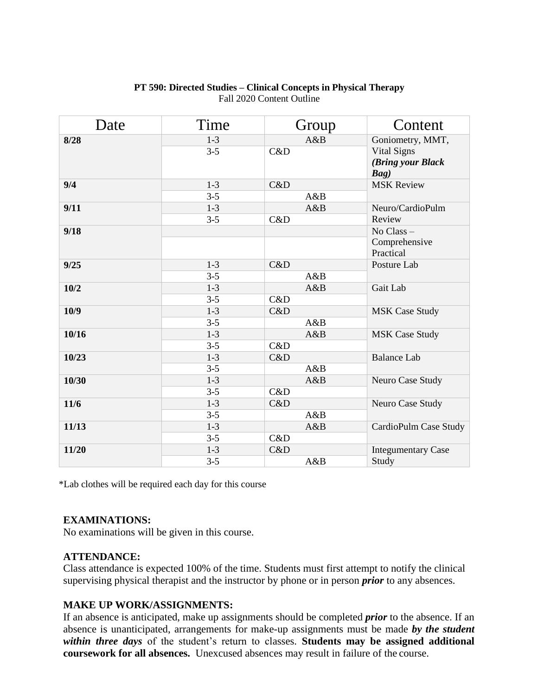| Date  | Time    | Group | Content                    |
|-------|---------|-------|----------------------------|
| 8/28  | $1 - 3$ | A&B   | Goniometry, MMT,           |
|       | $3 - 5$ | C&D   | <b>Vital Signs</b>         |
|       |         |       | (Bring your Black          |
|       |         |       | Bag)                       |
| 9/4   | $1-3$   | C&D   | <b>MSK Review</b>          |
|       | $3 - 5$ | A&B   |                            |
| 9/11  | $1-3$   | A&B   | Neuro/CardioPulm           |
|       | $3 - 5$ | C&D   | Review                     |
| 9/18  |         |       | No Class-                  |
|       |         |       | Comprehensive<br>Practical |
| 9/25  | $1-3$   | C&D   | Posture Lab                |
|       | $3 - 5$ | A&B   |                            |
| 10/2  | $1-3$   | A&B   | Gait Lab                   |
|       | $3 - 5$ | C&D   |                            |
| 10/9  | $1-3$   | C&D   | <b>MSK Case Study</b>      |
|       | $3 - 5$ | A&B   |                            |
| 10/16 | $1 - 3$ | A&B   | <b>MSK Case Study</b>      |
|       | $3 - 5$ | C&D   |                            |
| 10/23 | $1 - 3$ | C&D   | <b>Balance Lab</b>         |
|       | $3 - 5$ | A&B   |                            |
| 10/30 | $1-3$   | A&B   | Neuro Case Study           |
|       | $3 - 5$ | C&D   |                            |
| 11/6  | $1-3$   | C&D   | Neuro Case Study           |
|       | $3 - 5$ | A&B   |                            |
| 11/13 | $1 - 3$ | A&B   | CardioPulm Case Study      |
|       | $3 - 5$ | C&D   |                            |
| 11/20 | $1-3$   | C&D   | <b>Integumentary Case</b>  |
|       | $3 - 5$ | A&B   | Study                      |

### **PT 590: Directed Studies – Clinical Concepts in Physical Therapy** Fall 2020 Content Outline

\*Lab clothes will be required each day for this course

#### **EXAMINATIONS:**

No examinations will be given in this course.

#### **ATTENDANCE:**

Class attendance is expected 100% of the time. Students must first attempt to notify the clinical supervising physical therapist and the instructor by phone or in person *prior* to any absences.

### **MAKE UP WORK/ASSIGNMENTS:**

If an absence is anticipated, make up assignments should be completed *prior* to the absence. If an absence is unanticipated, arrangements for make-up assignments must be made *by the student within three days* of the student's return to classes. **Students may be assigned additional coursework for all absences.** Unexcused absences may result in failure of the course.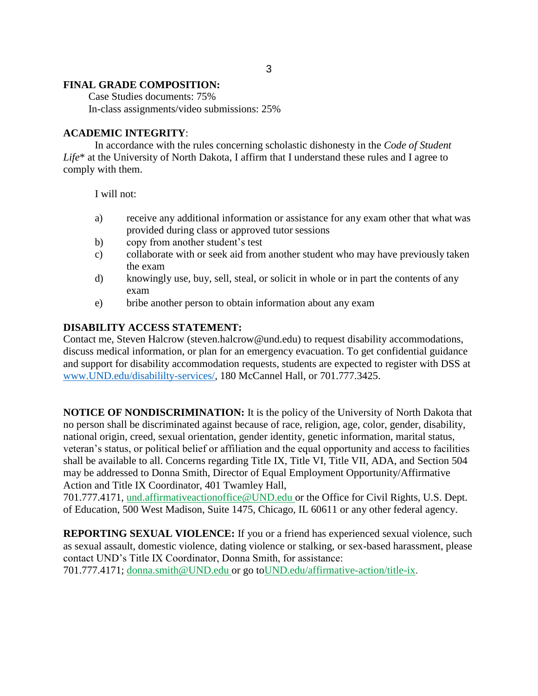#### **FINAL GRADE COMPOSITION:**

Case Studies documents: 75% In-class assignments/video submissions: 25%

#### **ACADEMIC INTEGRITY**:

In accordance with the rules concerning scholastic dishonesty in the *Code of Student Life*\* at the University of North Dakota, I affirm that I understand these rules and I agree to comply with them.

I will not:

- a) receive any additional information or assistance for any exam other that what was provided during class or approved tutor sessions
- b) copy from another student's test
- c) collaborate with or seek aid from another student who may have previously taken the exam
- d) knowingly use, buy, sell, steal, or solicit in whole or in part the contents of any exam
- e) bribe another person to obtain information about any exam

#### **DISABILITY ACCESS STATEMENT:**

Contact me, Steven Halcrow (steven.halcrow@und.edu) to request disability accommodations, discuss medical information, or plan for an emergency evacuation. To get confidential guidance and support for disability accommodation requests, students are expected to register with DSS at [www.UND.edu/disabililty-services/,](http://www.und.edu/disabililty-services/) 180 McCannel Hall, or 701.777.3425.

**NOTICE OF NONDISCRIMINATION:** It is the policy of the University of North Dakota that no person shall be discriminated against because of race, religion, age, color, gender, disability, national origin, creed, sexual orientation, gender identity, genetic information, marital status, veteran's status, or political belief or affiliation and the equal opportunity and access to facilities shall be available to all. Concerns regarding Title IX, Title VI, Title VII, ADA, and Section 504 may be addressed to Donna Smith, Director of Equal Employment Opportunity/Affirmative Action and Title IX Coordinator, 401 Twamley Hall,

701.777.4171, [und.affirmativeactionoffice@UND.edu o](mailto:und.affirmativeactionoffice@UND.edu)r the Office for Civil Rights, U.S. Dept. of Education, 500 West Madison, Suite 1475, Chicago, IL 60611 or any other federal agency.

**REPORTING SEXUAL VIOLENCE:** If you or a friend has experienced sexual violence, such as sexual assault, domestic violence, dating violence or stalking, or sex-based harassment, please contact UND's Title IX Coordinator, Donna Smith, for assistance: 701.777.4171; [donna.smith@UND.edu o](mailto:donna.smith@UND.edu)r go t[oUND.edu/affirmative-action/title-ix.](http://und.edu/affirmative-action/title-ix/index.cfm)